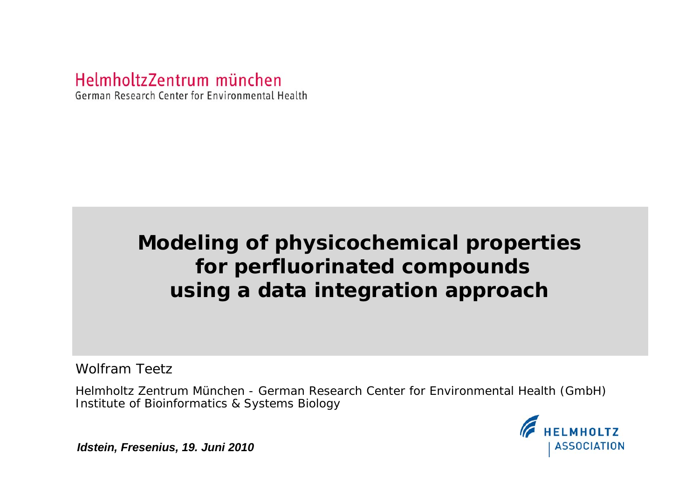# HelmholtzZentrum münchen

German Research Center for Environmental Health

# **Modeling of physicochemical properties for perfluorinated compounds using a data integration approach**

Wolfram Teetz

Helmholtz Zentrum München - German Research Center for Environmental Health (GmbH) Institute of Bioinformatics & Systems Biology



*Idstein, Fresenius, 19. Juni 2010*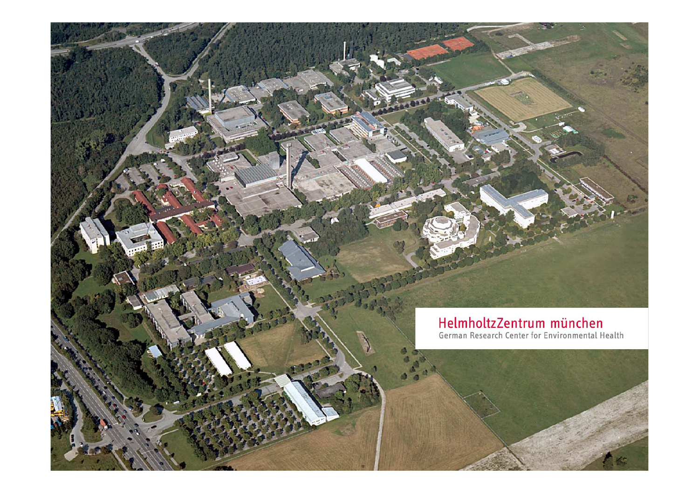# HelmholtzZentrum münchen<br>German Research Center for Environmental Health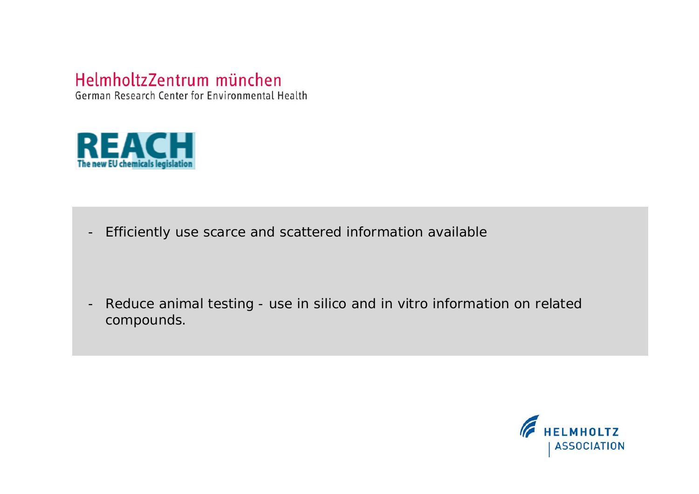## HelmholtzZentrum münchen

German Research Center for Environmental Health



-Efficiently use scarce and scattered information available

- Reduce animal testing - use in silico and in vitro information on related compounds.

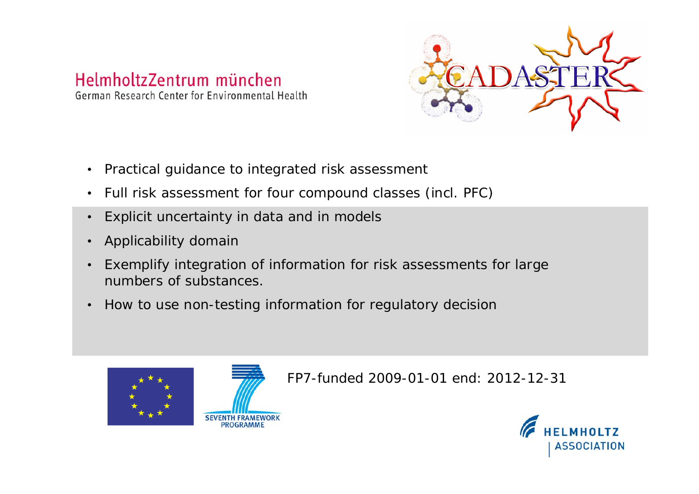# HelmholtzZentrum münchen

German Research Center for Environmental Health



- $\bullet$ Practical guidance to integrated risk assessment
- $\bullet$ Full risk assessment for four compound classes (incl. PFC)
- •Explicit uncertainty in data and in models
- •Applicability domain
- • Exemplify integration of information for risk assessments for large numbers of substances.
- •How to use non-testing information for regulatory decision





FP7-funded 2009-01-01 end: 2012-12-31

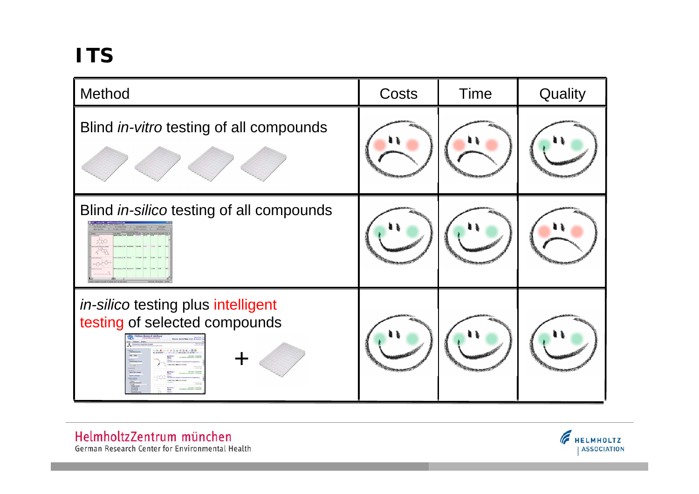# **ITS**

| Method                                                              | Costs | <b>Time</b> | Quality |
|---------------------------------------------------------------------|-------|-------------|---------|
| Blind in-vitro testing of all compounds                             |       |             |         |
| Blind in-silico testing of all compounds<br>tto                     |       |             |         |
| in-silico testing plus intelligent<br>testing of selected compounds |       |             |         |

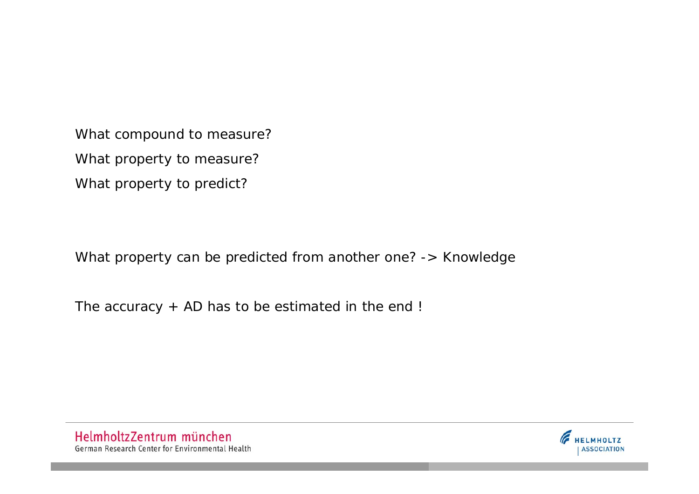What compound to measure?

What property to measure?

What property to predict?

What property can be predicted from another one? -> Knowledge

The accuracy + AD has to be estimated in the end !

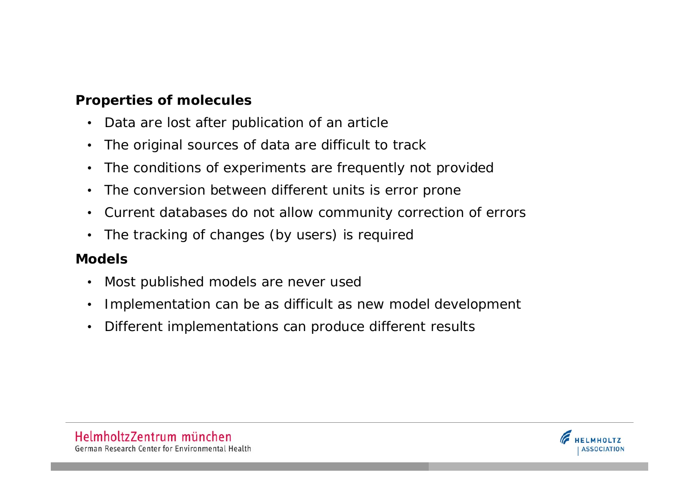### **Properties of molecules**

- $\bullet$ Data are lost after publication of an article
- •The original sources of data are difficult to track
- •The conditions of experiments are frequently not provided
- •The conversion between different units is error prone
- $\bullet$ Current databases do not allow community correction of errors
- $\bullet$ The tracking of changes (by users) is required

### **Models**

- •Most published models are never used
- •Implementation can be as difficult as new model development
- •Different implementations can produce different results

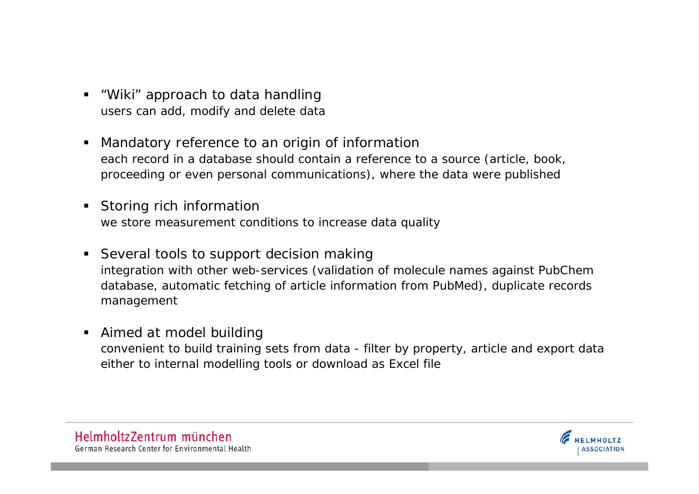- "Wiki" approach to data handling users can add, modify and delete data
- п Mandatory reference to an origin of information each record in a database should contain a reference to a source (article, book, proceeding or even personal communications), where the data were published
- Storing rich information we store measurement conditions to increase data quality
- п Several tools to support decision making integration with other web-services (validation of molecule names against PubChem database, automatic fetching of article information from PubMed), duplicate records management
- $\blacksquare$  Aimed at model building convenient to build training sets from data - filter by property, article and export data either to internal modelling tools or download as Excel file

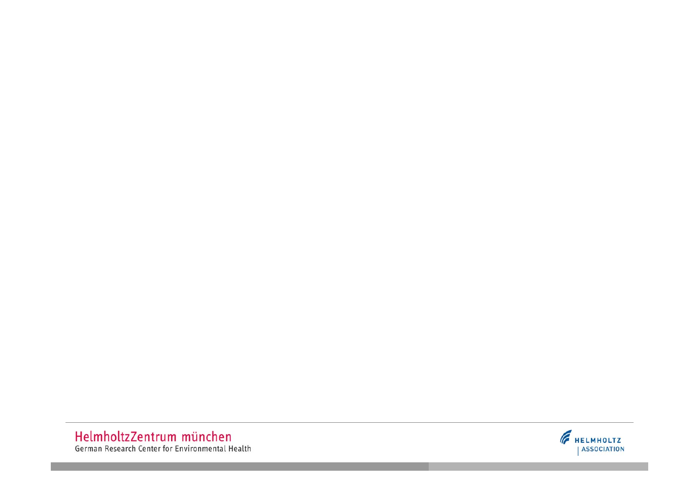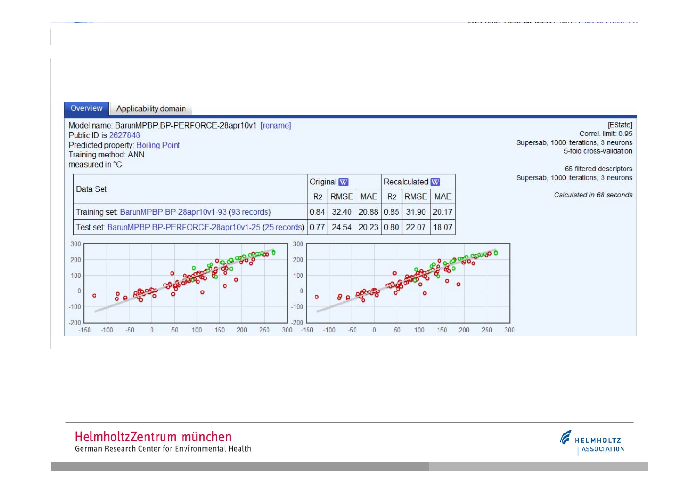| Model name: BarunMPBP.BP-PERFORCE-28apr10v1 [rename]<br><b>Public ID is 2627848</b><br>Predicted property: Boiling Point<br>Training method: ANN<br>measured in °C |                |                 |            |                |                       |            |                   | Correl. limit: 0.95<br>Supersab, 1000 iterations, 3 neurons<br>5-fold cross-validation<br>66 filtered descriptors | [EState] |
|--------------------------------------------------------------------------------------------------------------------------------------------------------------------|----------------|-----------------|------------|----------------|-----------------------|------------|-------------------|-------------------------------------------------------------------------------------------------------------------|----------|
|                                                                                                                                                                    |                | Original W      |            |                | <b>Recalculated W</b> |            |                   | Supersab, 1000 iterations, 3 neurons                                                                              |          |
| Data Set                                                                                                                                                           | R <sub>2</sub> | <b>RMSE</b>     | <b>MAE</b> | R <sub>2</sub> | <b>RMSE</b>           | <b>MAE</b> |                   | Calculated in 68 seconds                                                                                          |          |
| Training set: BarunMPBP.BP-28apr10v1-93 (93 records)                                                                                                               | 0.84           | 32.40           | 20.88 0.85 |                | 31.90                 | 20.17      |                   |                                                                                                                   |          |
| Test set: BarunMPBP.BP-PERFORCE-28apr10v1-25 (25 records) 0.77                                                                                                     |                | 24.54           | 20.23 0.80 |                | 22.07                 | 18.07      |                   |                                                                                                                   |          |
| 300<br>300<br>200<br>200<br>100<br>100<br>ာင်းဖွဲ့တို့<br>$\theta$<br>$\circ$<br>$-100$<br>$-100$                                                                  | $\circ$        |                 | $8 - 80$   |                |                       |            |                   |                                                                                                                   |          |
| $-200$<br>$-200$<br>100<br>150<br>200<br>$-150$<br>$-50$<br>50<br>250<br>300<br>$-100$                                                                             | $-150$         | $-50$<br>$-100$ |            | 50             | 100                   | 150        | 300<br>200<br>250 |                                                                                                                   |          |



Overview

**Applicability domain** 

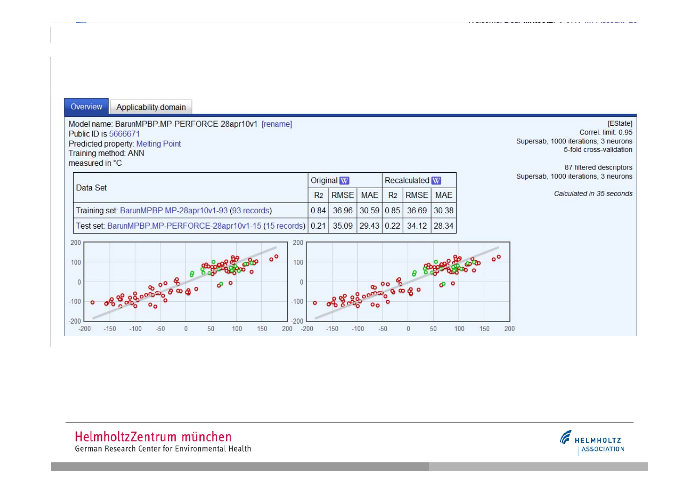| Overview<br>Applicability domain                                                                                                                                       |                |                       |            |                          |                       |            |                                                                                                                               |
|------------------------------------------------------------------------------------------------------------------------------------------------------------------------|----------------|-----------------------|------------|--------------------------|-----------------------|------------|-------------------------------------------------------------------------------------------------------------------------------|
| Model name: BarunMPBP.MP-PERFORCE-28apr10v1 [rename]<br>Public ID is 5666671<br>Predicted property: Melting Point<br>Training method: ANN<br>measured in °C            |                |                       |            |                          |                       |            | [EState]<br>Correl. limit: 0.95<br>Supersab, 1000 iterations, 3 neurons<br>5-fold cross-validation<br>87 filtered descriptors |
|                                                                                                                                                                        |                | Original <sup>W</sup> |            |                          | <b>Recalculated W</b> |            | Supersab, 1000 iterations, 3 neurons                                                                                          |
| Data Set                                                                                                                                                               | R <sub>2</sub> | <b>RMSE</b>           | <b>MAE</b> | R <sub>2</sub>           | <b>RMSE</b>           | <b>MAE</b> | Calculated in 35 seconds                                                                                                      |
| Training set: BarunMPBP.MP-28apr10v1-93 (93 records)                                                                                                                   | 0.84           | 36.96                 | 30.59 0.85 |                          | 36.69                 | 30.38      |                                                                                                                               |
| Test set: BarunMPBP.MP-PERFORCE-28apr10v1-15 (15 records) 0.21                                                                                                         |                | 35.09                 | 29.43 0.22 |                          | 34.12 28.34           |            |                                                                                                                               |
| 200<br>200<br>$^{\circ}$<br>100<br>100<br>800020800000<br>$-100$<br>$-100$<br>$-200$<br>20<br>$-200$<br>$-150$<br>$-100$<br>$-50$<br>50<br>150<br>200<br>$-200$<br>100 |                | $-150$                | $-100$     | ٥o<br>000000000<br>$-50$ |                       | ൌ<br>50    | $\circ$<br>100<br>150<br>200                                                                                                  |

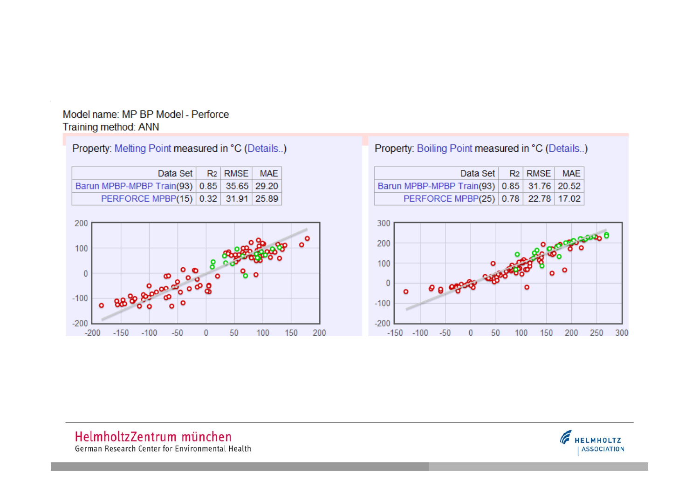#### Model name: MP BP Model - Perforce Training method: ANN

### Property: Melting Point measured in °C (Details..)

| Data Set   R <sub>2</sub>   RMSE   MAE           |  |  |
|--------------------------------------------------|--|--|
| Barun MPBP-MPBP Train(93)   0.85   35.65   29.20 |  |  |
| PERFORCE MPBP(15)   0.32   31.91   25.89         |  |  |



#### Property: Boiling Point measured in °C (Details..)

| Data Set   R <sub>2</sub>   RMSE   MAE           |  |  |
|--------------------------------------------------|--|--|
| Barun MPBP-MPBP Train(93)   0.85   31.76   20.52 |  |  |
| PERFORCE MPBP(25)   0.78   22.78   17.02         |  |  |



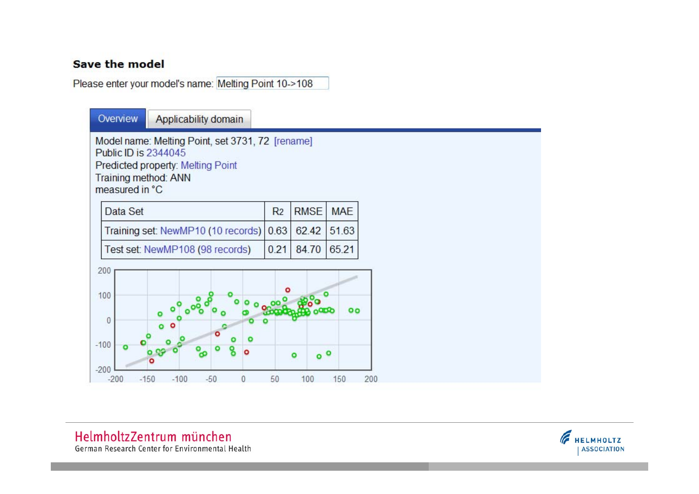### Save the model

Please enter your model's name: Melting Point 10->108

| Overview                                                              | Applicability domain                                                                  |                |             |            |
|-----------------------------------------------------------------------|---------------------------------------------------------------------------------------|----------------|-------------|------------|
| <b>Public ID is 2344045</b><br>Training method: ANN<br>measured in °C | Model name: Melting Point, set 3731, 72 [rename]<br>Predicted property: Melting Point |                |             |            |
| Data Set                                                              |                                                                                       | R <sub>2</sub> | <b>RMSE</b> | <b>MAE</b> |
|                                                                       | Training set: NewMP10 (10 records)                                                    | 0.63           | 62.42       | 51.63      |
|                                                                       | Test set: NewMP108 (98 records)                                                       | 0.21           | 84.70       | 65.21      |
| 200<br>100<br>0<br>$-100$<br>$\circ$                                  |                                                                                       |                |             | 00         |

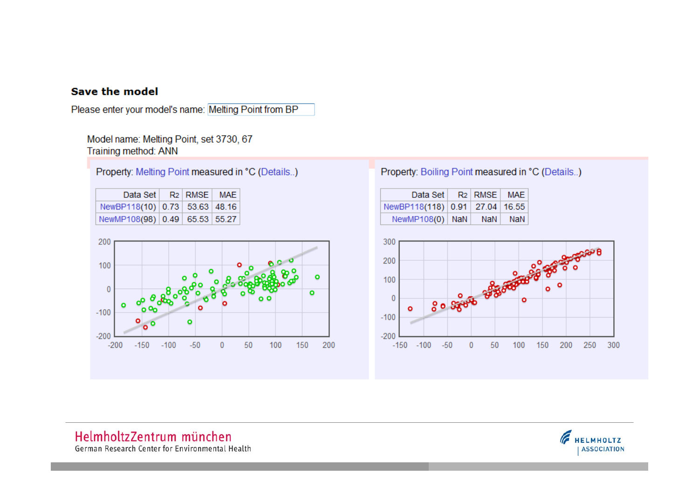#### **Save the model**

Please enter your model's name: Melting Point from BP

#### Model name: Melting Point, set 3730, 67 Training method: ANN



| Data Set   R2   RMSE   MAE          |  |  |
|-------------------------------------|--|--|
| NewBP118(10)   0.73   53.63   48.16 |  |  |
| NewMP108(98)   0.49   65.53   55.27 |  |  |



#### Property: Boiling Point measured in °C (Details..)

| Data Set                             | $R2$ RMSE MAE |     |
|--------------------------------------|---------------|-----|
| NewBP118(118)   0.91   27.04   16.55 |               |     |
| $NewMP108(0)$ NaN                    | NaN           | NaN |



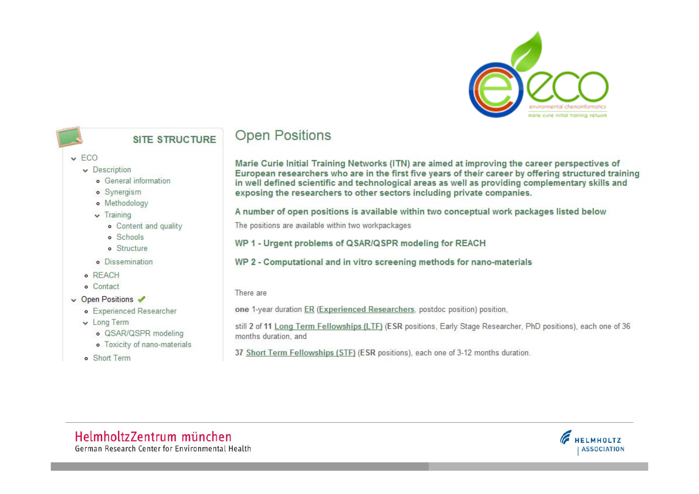

#### $FEO$

- $\sim$  Description
	- · General information

SITE STRUCTURE

- · Synergism
- · Methodology
- $\vee$  Training
	- Content and quality
	- · Schools
	- · Structure
- · Dissemination
- · REACH
- **•** Contact
- $\vee$  Open Positions  $\triangleleft$ 
	- · Experienced Researcher
	- Long Term
		- · QSAR/QSPR modeling
		- · Toxicity of nano-materials
	- · Short Term

### **Open Positions**

Marie Curie Initial Training Networks (ITN) are aimed at improving the career perspectives of European researchers who are in the first five years of their career by offering structured training in well defined scientific and technological areas as well as providing complementary skills and exposing the researchers to other sectors including private companies.

A number of open positions is available within two conceptual work packages listed below

The positions are available within two workpackages

- WP 1 Urgent problems of QSAR/QSPR modeling for REACH
- WP 2 Computational and in vitro screening methods for nano-materials

#### There are

one 1-year duration ER (Experienced Researchers, postdoc position) position,

still 2 of 11 Long Term Fellowships (LTF) (ESR positions, Early Stage Researcher, PhD positions), each one of 36 months duration, and

37 Short Term Fellowships (STF) (ESR positions), each one of 3-12 months duration.